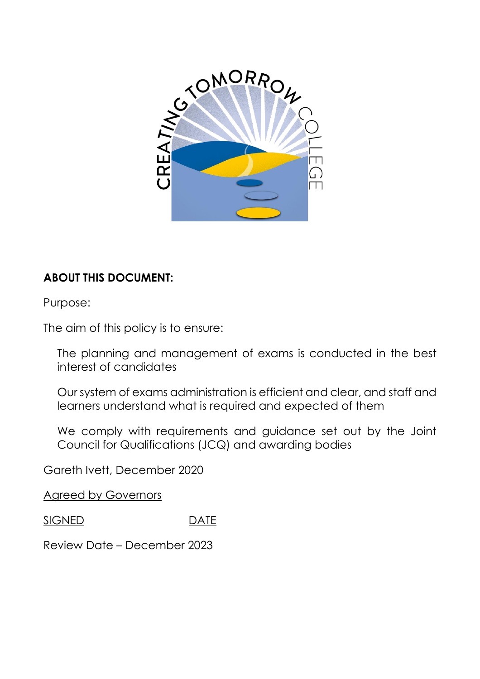

# **ABOUT THIS DOCUMENT:**

Purpose:

The aim of this policy is to ensure:

The planning and management of exams is conducted in the best interest of candidates

Our system of exams administration is efficient and clear, and staff and learners understand what is required and expected of them

We comply with requirements and guidance set out by the Joint Council for Qualifications (JCQ) and awarding bodies

Gareth Ivett, December 2020

Agreed by Governors

SIGNED DATE

Review Date – December 2023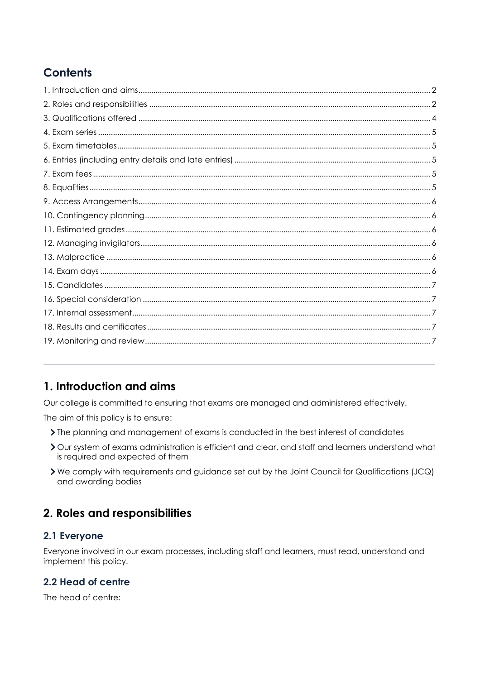# **Contents**

## <span id="page-1-0"></span>1. Introduction and aims

Our college is committed to ensuring that exams are managed and administered effectively.

The aim of this policy is to ensure:

- > The planning and management of exams is conducted in the best interest of candidates
- > Our system of exams administration is efficient and clear, and staff and learners understand what is required and expected of them
- > We comply with requirements and guidance set out by the Joint Council for Qualifications (JCQ) and awarding bodies

### <span id="page-1-1"></span>2. Roles and responsibilities

#### 2.1 Everyone

Everyone involved in our exam processes, including staff and learners, must read, understand and implement this policy.

#### 2.2 Head of centre

The head of centre: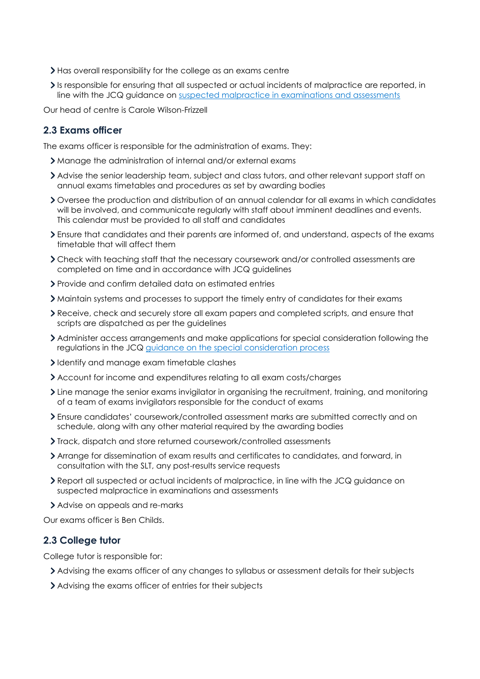- Has overall responsibility for the college as an exams centre
- Is responsible for ensuring that all suspected or actual incidents of malpractice are reported, in line with the JCQ guidance on [suspected malpractice in examinations and assessments](https://www.jcq.org.uk/exams-office/malpractice/suspected-malpractice-in-examinations-and-assessments-2018-19)

Our head of centre is Carole Wilson-Frizzell

#### **2.3 Exams officer**

The exams officer is responsible for the administration of exams. They:

- Manage the administration of internal and/or external exams
- Advise the senior leadership team, subject and class tutors, and other relevant support staff on annual exams timetables and procedures as set by awarding bodies
- Oversee the production and distribution of an annual calendar for all exams in which candidates will be involved, and communicate regularly with staff about imminent deadlines and events. This calendar must be provided to all staff and candidates
- Ensure that candidates and their parents are informed of, and understand, aspects of the exams timetable that will affect them
- Check with teaching staff that the necessary coursework and/or controlled assessments are completed on time and in accordance with JCQ guidelines
- Provide and confirm detailed data on estimated entries
- Maintain systems and processes to support the timely entry of candidates for their exams
- Receive, check and securely store all exam papers and completed scripts, and ensure that scripts are dispatched as per the guidelines
- Administer access arrangements and make applications for special consideration following the regulations in the JCQ [guidance on the special consideration process](https://www.jcq.org.uk/exams-office/access-arrangements-and-special-consideration/regulations-and-guidance/a-guide-to-the-special-consideration-process-2018-2019)
- I dentify and manage exam timetable clashes
- Account for income and expenditures relating to all exam costs/charges
- Line manage the senior exams invigilator in organising the recruitment, training, and monitoring of a team of exams invigilators responsible for the conduct of exams
- Ensure candidates' coursework/controlled assessment marks are submitted correctly and on schedule, along with any other material required by the awarding bodies
- Track, dispatch and store returned coursework/controlled assessments
- Arrange for dissemination of exam results and certificates to candidates, and forward, in consultation with the SLT, any post-results service requests
- Report all suspected or actual incidents of malpractice, in line with the JCQ guidance on suspected malpractice in examinations and assessments
- Advise on appeals and re-marks

Our exams officer is Ben Childs.

#### **2.3 College tutor**

College tutor is responsible for:

- Advising the exams officer of any changes to syllabus or assessment details for their subjects
- Advising the exams officer of entries for their subjects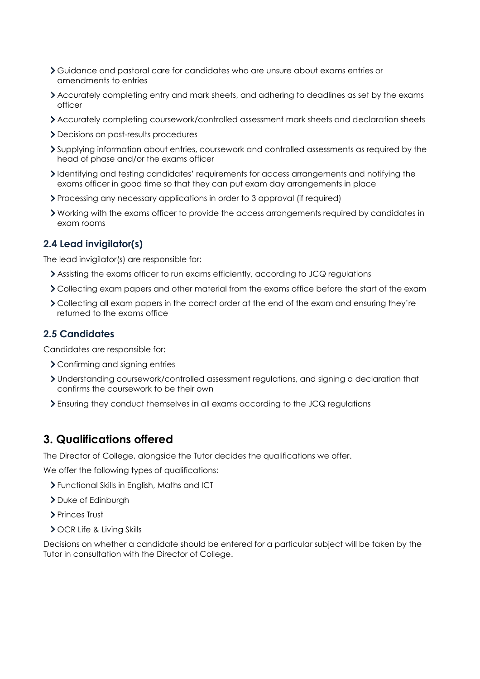- Guidance and pastoral care for candidates who are unsure about exams entries or amendments to entries
- Accurately completing entry and mark sheets, and adhering to deadlines as set by the exams officer
- Accurately completing coursework/controlled assessment mark sheets and declaration sheets
- Decisions on post-results procedures
- Supplying information about entries, coursework and controlled assessments as required by the head of phase and/or the exams officer
- Identifying and testing candidates' requirements for access arrangements and notifying the exams officer in good time so that they can put exam day arrangements in place
- Processing any necessary applications in order to 3 approval (if required)
- Working with the exams officer to provide the access arrangements required by candidates in exam rooms

#### **2.4 Lead invigilator(s)**

The lead invigilator(s) are responsible for:

- Assisting the exams officer to run exams efficiently, according to JCQ regulations
- Collecting exam papers and other material from the exams office before the start of the exam
- Collecting all exam papers in the correct order at the end of the exam and ensuring they're returned to the exams office

#### **2.5 Candidates**

Candidates are responsible for:

- Confirming and signing entries
- Understanding coursework/controlled assessment regulations, and signing a declaration that confirms the coursework to be their own
- Ensuring they conduct themselves in all exams according to the JCQ regulations

#### <span id="page-3-0"></span>**3. Qualifications offered**

The Director of College, alongside the Tutor decides the qualifications we offer.

We offer the following types of qualifications:

- Functional Skills in English, Maths and ICT
- > Duke of Edinburgh
- > Princes Trust
- **> OCR Life & Living Skills**

Decisions on whether a candidate should be entered for a particular subject will be taken by the Tutor in consultation with the Director of College.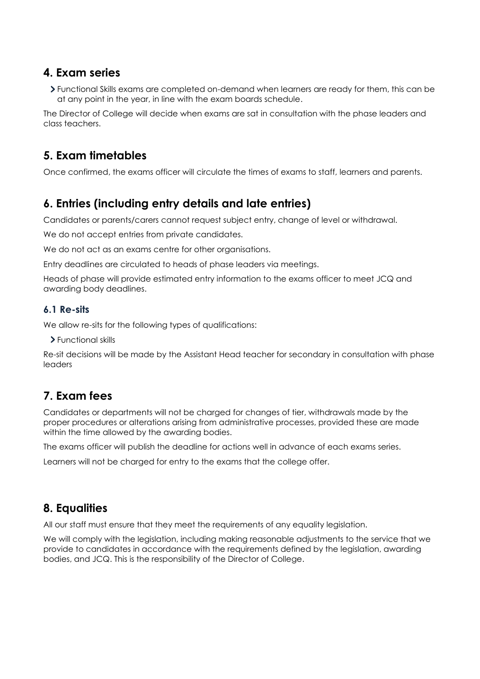### <span id="page-4-0"></span>**4. Exam series**

Functional Skills exams are completed on-demand when learners are ready for them, this can be at any point in the year, in line with the exam boards schedule.

The Director of College will decide when exams are sat in consultation with the phase leaders and class teachers.

## <span id="page-4-1"></span>**5. Exam timetables**

Once confirmed, the exams officer will circulate the times of exams to staff, learners and parents.

## <span id="page-4-2"></span>**6. Entries (including entry details and late entries)**

Candidates or parents/carers cannot request subject entry, change of level or withdrawal.

We do not accept entries from private candidates.

We do not act as an exams centre for other organisations.

Entry deadlines are circulated to heads of phase leaders via meetings.

Heads of phase will provide estimated entry information to the exams officer to meet JCQ and awarding body deadlines.

#### **6.1 Re-sits**

We allow re-sits for the following types of qualifications:

Functional skills

Re-sit decisions will be made by the Assistant Head teacher for secondary in consultation with phase leaders

## <span id="page-4-3"></span>**7. Exam fees**

Candidates or departments will not be charged for changes of tier, withdrawals made by the proper procedures or alterations arising from administrative processes, provided these are made within the time allowed by the awarding bodies.

The exams officer will publish the deadline for actions well in advance of each exams series.

Learners will not be charged for entry to the exams that the college offer.

## <span id="page-4-4"></span>**8. Equalities**

All our staff must ensure that they meet the requirements of any equality legislation.

We will comply with the legislation, including making reasonable adjustments to the service that we provide to candidates in accordance with the requirements defined by the legislation, awarding bodies, and JCQ. This is the responsibility of the Director of College.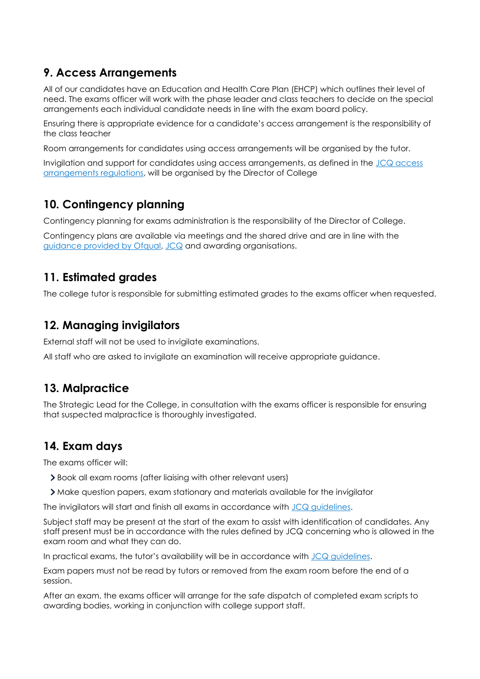## <span id="page-5-0"></span>**9. Access Arrangements**

All of our candidates have an Education and Health Care Plan (EHCP) which outlines their level of need. The exams officer will work with the phase leader and class teachers to decide on the special arrangements each individual candidate needs in line with the exam board policy.

Ensuring there is appropriate evidence for a candidate's access arrangement is the responsibility of the class teacher

Room arrangements for candidates using access arrangements will be organised by the tutor.

Invigilation and support for candidates using access arrangements, as defined in the [JCQ access](https://www.jcq.org.uk/exams-office/access-arrangements-and-special-consideration/regulations-and-guidance/access-arrangements-and-reasonable-adjustments-booklet)  [arrangements regulations,](https://www.jcq.org.uk/exams-office/access-arrangements-and-special-consideration/regulations-and-guidance/access-arrangements-and-reasonable-adjustments-booklet) will be organised by the Director of College

## <span id="page-5-1"></span>**10. Contingency planning**

Contingency planning for exams administration is the responsibility of the Director of College.

Contingency plans are available via meetings and the shared drive and are in line with the [guidance provided by Ofqual,](https://www.gov.uk/government/publications/exam-system-contingency-plan-england-wales-and-northern-ireland/what-schools-and-colleges-should-do-if-exams-or-other-assessments-are-seriously-disrupted) [JCQ](https://www.jcq.org.uk/exams-office/general-regulations/notice-to-centres--exam-contingency-plan) and awarding organisations.

### <span id="page-5-2"></span>**11. Estimated grades**

The college tutor is responsible for submitting estimated grades to the exams officer when requested.

### <span id="page-5-3"></span>**12. Managing invigilators**

External staff will not be used to invigilate examinations.

All staff who are asked to invigilate an examination will receive appropriate guidance.

## <span id="page-5-4"></span>**13. Malpractice**

The Strategic Lead for the College, in consultation with the exams officer is responsible for ensuring that suspected malpractice is thoroughly investigated.

## <span id="page-5-5"></span>**14. Exam days**

The exams officer will:

- Book all exam rooms (after liaising with other relevant users)
- Make question papers, exam stationary and materials available for the invigilator

The invigilators will start and finish all exams in accordance with [JCQ guidelines.](https://www.jcq.org.uk/exams-office/ice---instructions-for-conducting-examinations)

Subject staff may be present at the start of the exam to assist with identification of candidates. Any staff present must be in accordance with the rules defined by JCQ concerning who is allowed in the exam room and what they can do.

In practical exams, the tutor's availability will be in accordance with JCQ quidelines.

Exam papers must not be read by tutors or removed from the exam room before the end of a session.

After an exam, the exams officer will arrange for the safe dispatch of completed exam scripts to awarding bodies, working in conjunction with college support staff.